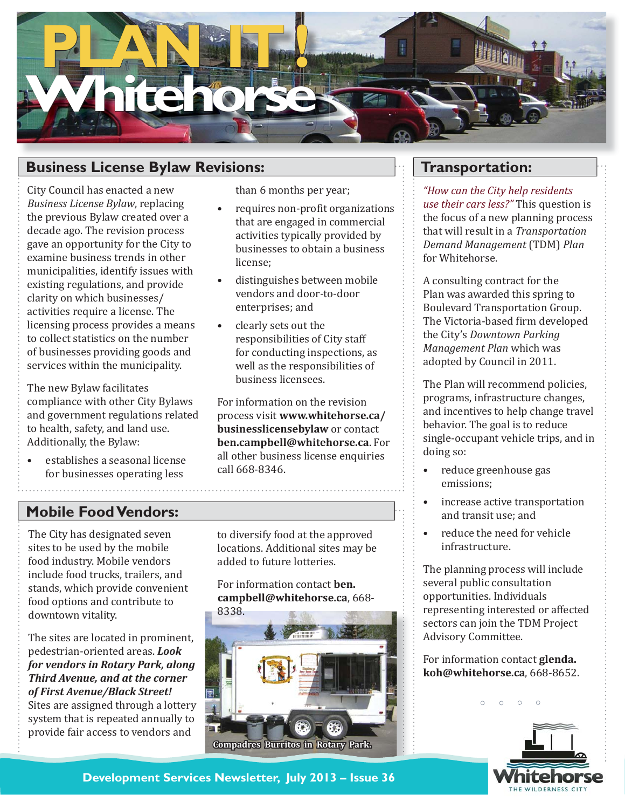

# **Business License Bylaw Revisions:**

City Council has enacted a new *Business License Bylaw*, replacing the previous Bylaw created over a decade ago. The revision process gave an opportunity for the City to examine business trends in other municipalities, identify issues with existing regulations, and provide clarity on which businesses/ activities require a license. The licensing process provides a means to collect statistics on the number of businesses providing goods and services within the municipality.

The new Bylaw facilitates compliance with other City Bylaws and government regulations related to health, safety, and land use. Additionally, the Bylaw:

establishes a seasonal license for businesses operating less •

than 6 months per year;

- requires non-profit organizations that are engaged in commercial activities typically provided by businesses to obtain a business license; •
- distinguishes between mobile vendors and door-to-door enterprises; and •
- clearly sets out the responsibilities of City staff for conducting inspections, as well as the responsibilities of business licensees. •

For information on the revision process visit **www.whitehorse.ca/ businesslicensebylaw** or contact **ben.campbell@whitehorse.ca**. For all other business license enquiries call 668-8346.

#### **Mobile Food Vendors:**

The City has designated seven sites to be used by the mobile food industry. Mobile vendors include food trucks, trailers, and stands, which provide convenient food options and contribute to downtown vitality.

The sites are located in prominent, pedestrian-oriented areas. *Look for vendors in Rotary Park, along Third Avenue, and at the corner of First Avenue/Black Street!*  Sites are assigned through a lottery system that is repeated annually to provide fair access to vendors and

to diversify food at the approved locations. Additional sites may be added to future lotteries.

For information contact **ben. campbell@whitehorse.ca**, 668-



#### **Transportation:**

*"How can the City help residents use their cars less?"* This question is the focus of a new planning process that will result in a *Transportation Demand Management* (TDM) *Plan* for Whitehorse.

A consulting contract for the Plan was awarded this spring to Boulevard Transportation Group. The Victoria-based firm developed the City's *Downtown Parking Management Plan* which was adopted by Council in 2011.

The Plan will recommend policies, programs, infrastructure changes, and incentives to help change travel behavior. The goal is to reduce single-occupant vehicle trips, and in doing so:

- reduce greenhouse gas emissions; •
- increase active transportation and transit use; and •
- reduce the need for vehicle infrastructure. •

The planning process will include several public consultation opportunities. Individuals representing interested or affected sectors can join the TDM Project Advisory Committee.

For information contact **glenda. koh@whitehorse.ca**, 668-8652.

 $\circ$ 



**Development Services Newsletter, July 2013 – Issue 36**